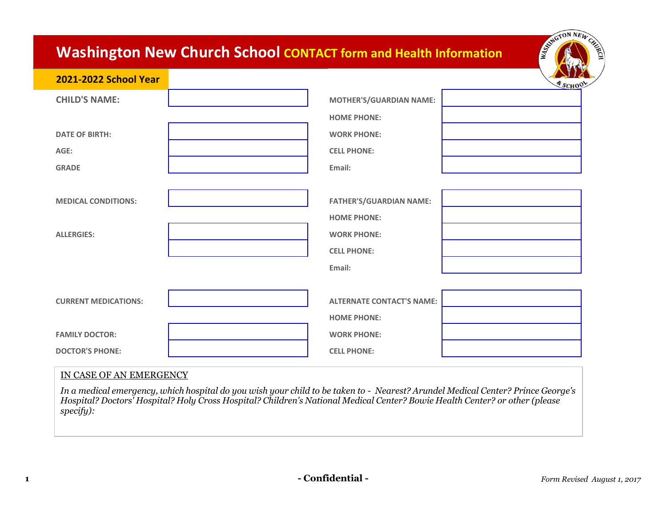## **Washington New Church School CONTACT form and Health Information**

| 2021-2022 School Year       |                                  | <b>ESCHOOL</b> |
|-----------------------------|----------------------------------|----------------|
| <b>CHILD'S NAME:</b>        | <b>MOTHER'S/GUARDIAN NAME:</b>   |                |
|                             | <b>HOME PHONE:</b>               |                |
| <b>DATE OF BIRTH:</b>       | <b>WORK PHONE:</b>               |                |
| AGE:                        | <b>CELL PHONE:</b>               |                |
| <b>GRADE</b>                | Email:                           |                |
|                             |                                  |                |
| <b>MEDICAL CONDITIONS:</b>  | <b>FATHER'S/GUARDIAN NAME:</b>   |                |
|                             | <b>HOME PHONE:</b>               |                |
| <b>ALLERGIES:</b>           | <b>WORK PHONE:</b>               |                |
|                             | <b>CELL PHONE:</b>               |                |
|                             | Email:                           |                |
|                             |                                  |                |
| <b>CURRENT MEDICATIONS:</b> | <b>ALTERNATE CONTACT'S NAME:</b> |                |
|                             | <b>HOME PHONE:</b>               |                |
| <b>FAMILY DOCTOR:</b>       | <b>WORK PHONE:</b>               |                |
| <b>DOCTOR'S PHONE:</b>      | <b>CELL PHONE:</b>               |                |

## IN CASE OF AN EMERGENCY

*In a medical emergency, which hospital do you wish your child to be taken to - Nearest? Arundel Medical Center? Prince George's Hospital? Doctors' Hospital? Holy Cross Hospital? Children's National Medical Center? Bowie Health Center? or other (please specify):*

ESTRETON NEW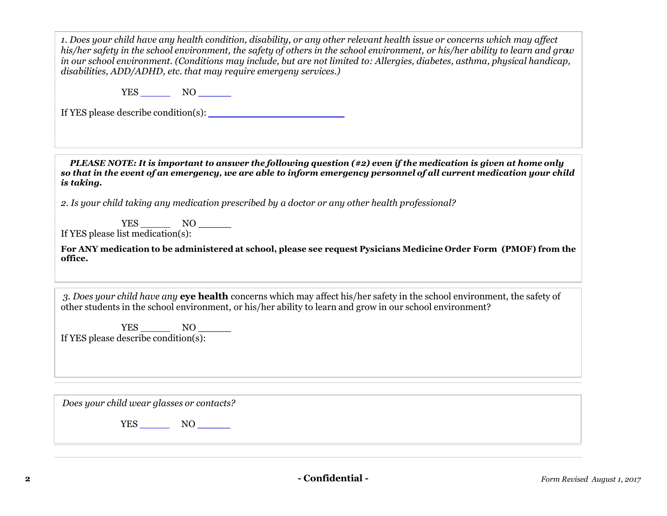*1. Does your child have any health condition, disability, or any other relevant health issue or concerns which may affect his/her safety in the school environment, the safety of others in the school environment, or his/her ability to learn and grow in our school environment. (Conditions may include, but are not limited to: Allergies, diabetes, asthma, physical handicap, disabilities, ADD/ADHD, etc. that may require emergeny services.)*

YES \_\_\_\_\_ NO **\_\_\_\_\_**

If YES please describe condition(s): \_\_\_\_\_\_\_\_\_\_\_\_\_\_\_\_\_\_\_\_\_\_\_

*PLEASE NOTE: It is important to answer the following question (#2) even if the medication is given at home only so that in the event of an emergency, we are able to inform emergency personnel of all current medication your child is taking.*

*2. Is your child taking any medication prescribed by a doctor or any other health professional?*

YES \_\_\_\_\_ NO **\_\_\_\_\_** If YES please list medication(s):

**For ANY medication to be administered at school, please see request Pysicians Medicine Order Form (PMOF) from the office.**

*3. Does your child have any* **eye health** concerns which may affect his/her safety in the school environment, the safety of other students in the school environment, or his/her ability to learn and grow in our school environment?

YES \_\_\_\_\_ NO **\_\_\_\_\_** If YES please describe condition(s):

*Does your child wear glasses or contacts?*

YES \_\_\_\_\_ NO **\_\_\_\_\_**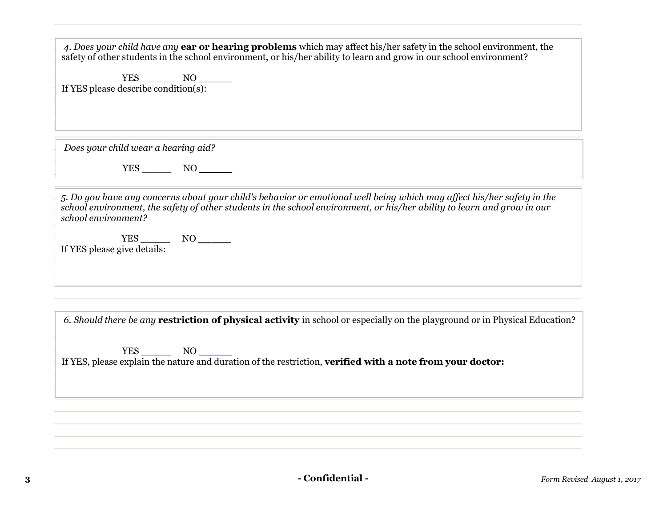| 4. Does your child have any <b>ear or hearing problems</b> which may affect his/her safety in the school environment, the<br>safety of other students in the school environment, or his/her ability to learn and grow in our school environment?                         |
|--------------------------------------------------------------------------------------------------------------------------------------------------------------------------------------------------------------------------------------------------------------------------|
|                                                                                                                                                                                                                                                                          |
|                                                                                                                                                                                                                                                                          |
|                                                                                                                                                                                                                                                                          |
| Does your child wear a hearing aid?                                                                                                                                                                                                                                      |
|                                                                                                                                                                                                                                                                          |
| 5. Do you have any concerns about your child's behavior or emotional well being which may affect his/her safety in the<br>school environment, the safety of other students in the school environment, or his/her ability to learn and grow in our<br>school environment? |
| ${\rm YES} \begin{tabular}{ll} \bf YES & NO & \bf \end{tabular}$<br>If YES please give details:                                                                                                                                                                          |
|                                                                                                                                                                                                                                                                          |
| 6. Should there be any <b>restriction of physical activity</b> in school or especially on the playground or in Physical Education?                                                                                                                                       |
| If YES, please explain the nature and duration of the restriction, verified with a note from your doctor:                                                                                                                                                                |
|                                                                                                                                                                                                                                                                          |
|                                                                                                                                                                                                                                                                          |
|                                                                                                                                                                                                                                                                          |
|                                                                                                                                                                                                                                                                          |